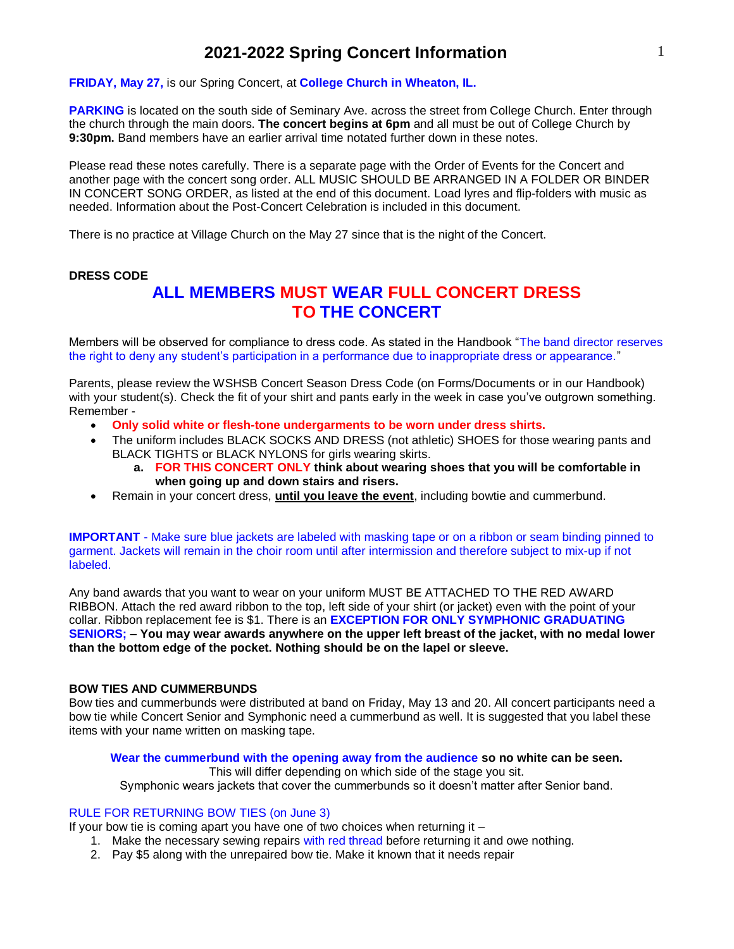**FRIDAY, May 27,** is our Spring Concert, at **College Church in Wheaton, IL.**

**PARKING** is located on the south side of Seminary Ave. across the street from College Church. Enter through the church through the main doors. **The concert begins at 6pm** and all must be out of College Church by **9:30pm.** Band members have an earlier arrival time notated further down in these notes.

Please read these notes carefully. There is a separate page with the Order of Events for the Concert and another page with the concert song order. ALL MUSIC SHOULD BE ARRANGED IN A FOLDER OR BINDER IN CONCERT SONG ORDER, as listed at the end of this document. Load lyres and flip-folders with music as needed. Information about the Post-Concert Celebration is included in this document.

There is no practice at Village Church on the May 27 since that is the night of the Concert.

#### **DRESS CODE**

## **ALL MEMBERS MUST WEAR FULL CONCERT DRESS TO THE CONCERT**

Members will be observed for compliance to dress code. As stated in the Handbook "The band director reserves the right to deny any student's participation in a performance due to inappropriate dress or appearance."

Parents, please review the WSHSB Concert Season Dress Code (on Forms/Documents or in our Handbook) with your student(s). Check the fit of your shirt and pants early in the week in case you've outgrown something. Remember -

- **Only solid white or flesh-tone undergarments to be worn under dress shirts.**
- The uniform includes BLACK SOCKS AND DRESS (not athletic) SHOES for those wearing pants and BLACK TIGHTS or BLACK NYLONS for girls wearing skirts.
	- **a. FOR THIS CONCERT ONLY think about wearing shoes that you will be comfortable in when going up and down stairs and risers.**
- Remain in your concert dress, **until you leave the event**, including bowtie and cummerbund.

**IMPORTANT** - Make sure blue jackets are labeled with masking tape or on a ribbon or seam binding pinned to garment. Jackets will remain in the choir room until after intermission and therefore subject to mix-up if not labeled.

Any band awards that you want to wear on your uniform MUST BE ATTACHED TO THE RED AWARD RIBBON. Attach the red award ribbon to the top, left side of your shirt (or jacket) even with the point of your collar. Ribbon replacement fee is \$1. There is an **EXCEPTION FOR ONLY SYMPHONIC GRADUATING SENIORS; – You may wear awards anywhere on the upper left breast of the jacket, with no medal lower than the bottom edge of the pocket. Nothing should be on the lapel or sleeve.**

#### **BOW TIES AND CUMMERBUNDS**

Bow ties and cummerbunds were distributed at band on Friday, May 13 and 20. All concert participants need a bow tie while Concert Senior and Symphonic need a cummerbund as well. It is suggested that you label these items with your name written on masking tape.

**Wear the cummerbund with the opening away from the audience so no white can be seen.**

This will differ depending on which side of the stage you sit.

Symphonic wears jackets that cover the cummerbunds so it doesn't matter after Senior band.

#### RULE FOR RETURNING BOW TIES (on June 3)

If your bow tie is coming apart you have one of two choices when returning it  $-$ 

- 1. Make the necessary sewing repairs with red thread before returning it and owe nothing.
- 2. Pay \$5 along with the unrepaired bow tie. Make it known that it needs repair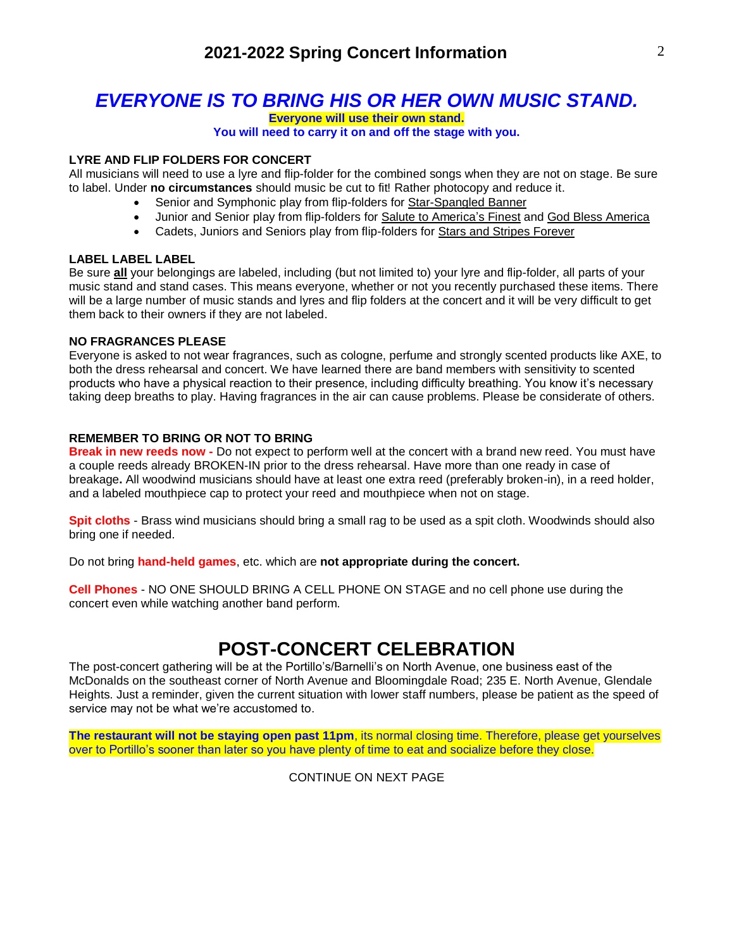# *EVERYONE IS TO BRING HIS OR HER OWN MUSIC STAND.*

**Everyone will use their own stand.**

**You will need to carry it on and off the stage with you.**

#### **LYRE AND FLIP FOLDERS FOR CONCERT**

All musicians will need to use a lyre and flip-folder for the combined songs when they are not on stage. Be sure to label. Under **no circumstances** should music be cut to fit! Rather photocopy and reduce it.

- Senior and Symphonic play from flip-folders for Star-Spangled Banner
- Junior and Senior play from flip-folders for Salute to America's Finest and God Bless America
- Cadets, Juniors and Seniors play from flip-folders for Stars and Stripes Forever

#### **LABEL LABEL LABEL**

Be sure **all** your belongings are labeled, including (but not limited to) your lyre and flip-folder, all parts of your music stand and stand cases. This means everyone, whether or not you recently purchased these items. There will be a large number of music stands and lyres and flip folders at the concert and it will be very difficult to get them back to their owners if they are not labeled.

#### **NO FRAGRANCES PLEASE**

Everyone is asked to not wear fragrances, such as cologne, perfume and strongly scented products like AXE, to both the dress rehearsal and concert. We have learned there are band members with sensitivity to scented products who have a physical reaction to their presence, including difficulty breathing. You know it's necessary taking deep breaths to play. Having fragrances in the air can cause problems. Please be considerate of others.

#### **REMEMBER TO BRING OR NOT TO BRING**

**Break in new reeds now -** Do not expect to perform well at the concert with a brand new reed. You must have a couple reeds already BROKEN-IN prior to the dress rehearsal. Have more than one ready in case of breakage**.** All woodwind musicians should have at least one extra reed (preferably broken-in), in a reed holder, and a labeled mouthpiece cap to protect your reed and mouthpiece when not on stage.

**Spit cloths** - Brass wind musicians should bring a small rag to be used as a spit cloth. Woodwinds should also bring one if needed.

Do not bring **hand-held games**, etc. which are **not appropriate during the concert.**

**Cell Phones** - NO ONE SHOULD BRING A CELL PHONE ON STAGE and no cell phone use during the concert even while watching another band perform.

# **POST-CONCERT CELEBRATION**

The post-concert gathering will be at the Portillo's/Barnelli's on North Avenue, one business east of the McDonalds on the southeast corner of North Avenue and Bloomingdale Road; 235 E. North Avenue, Glendale Heights. Just a reminder, given the current situation with lower staff numbers, please be patient as the speed of service may not be what we're accustomed to.

**The restaurant will not be staying open past 11pm**, its normal closing time. Therefore, please get yourselves over to Portillo's sooner than later so you have plenty of time to eat and socialize before they close.

CONTINUE ON NEXT PAGE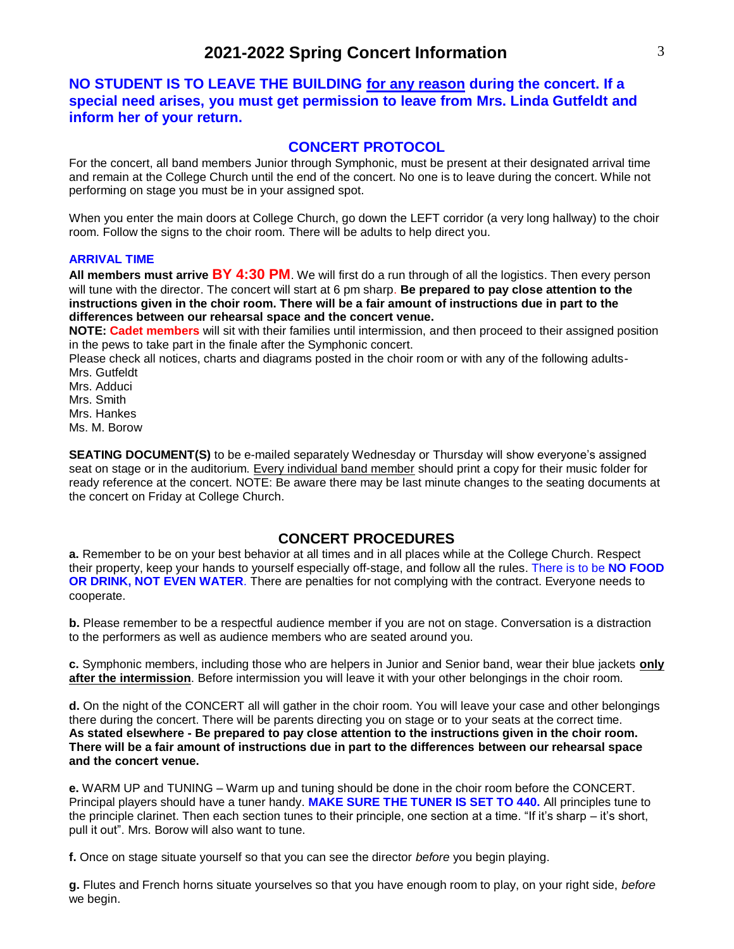### **NO STUDENT IS TO LEAVE THE BUILDING for any reason during the concert. If a special need arises, you must get permission to leave from Mrs. Linda Gutfeldt and inform her of your return.**

#### **CONCERT PROTOCOL**

For the concert, all band members Junior through Symphonic, must be present at their designated arrival time and remain at the College Church until the end of the concert. No one is to leave during the concert. While not performing on stage you must be in your assigned spot.

When you enter the main doors at College Church, go down the LEFT corridor (a very long hallway) to the choir room. Follow the signs to the choir room. There will be adults to help direct you.

#### **ARRIVAL TIME**

**All members must arrive BY 4:30 PM**. We will first do a run through of all the logistics. Then every person will tune with the director. The concert will start at 6 pm sharp. **Be prepared to pay close attention to the instructions given in the choir room. There will be a fair amount of instructions due in part to the differences between our rehearsal space and the concert venue.**

**NOTE: Cadet members** will sit with their families until intermission, and then proceed to their assigned position in the pews to take part in the finale after the Symphonic concert.

Please check all notices, charts and diagrams posted in the choir room or with any of the following adults-Mrs. Gutfeldt

Mrs. Adduci Mrs. Smith Mrs. Hankes Ms. M. Borow

**SEATING DOCUMENT(S)** to be e-mailed separately Wednesday or Thursday will show everyone's assigned seat on stage or in the auditorium. Every individual band member should print a copy for their music folder for ready reference at the concert. NOTE: Be aware there may be last minute changes to the seating documents at the concert on Friday at College Church.

#### **CONCERT PROCEDURES**

**a.** Remember to be on your best behavior at all times and in all places while at the College Church. Respect their property, keep your hands to yourself especially off-stage, and follow all the rules. There is to be **NO FOOD OR DRINK, NOT EVEN WATER**. There are penalties for not complying with the contract. Everyone needs to cooperate.

**b.** Please remember to be a respectful audience member if you are not on stage. Conversation is a distraction to the performers as well as audience members who are seated around you.

**c.** Symphonic members, including those who are helpers in Junior and Senior band, wear their blue jackets **only after the intermission**. Before intermission you will leave it with your other belongings in the choir room.

**d.** On the night of the CONCERT all will gather in the choir room. You will leave your case and other belongings there during the concert. There will be parents directing you on stage or to your seats at the correct time. **As stated elsewhere - Be prepared to pay close attention to the instructions given in the choir room. There will be a fair amount of instructions due in part to the differences between our rehearsal space and the concert venue.**

**e.** WARM UP and TUNING – Warm up and tuning should be done in the choir room before the CONCERT. Principal players should have a tuner handy. **MAKE SURE THE TUNER IS SET TO 440.** All principles tune to the principle clarinet. Then each section tunes to their principle, one section at a time. "If it's sharp – it's short, pull it out". Mrs. Borow will also want to tune.

**f.** Once on stage situate yourself so that you can see the director *before* you begin playing.

**g.** Flutes and French horns situate yourselves so that you have enough room to play, on your right side, *before* we begin.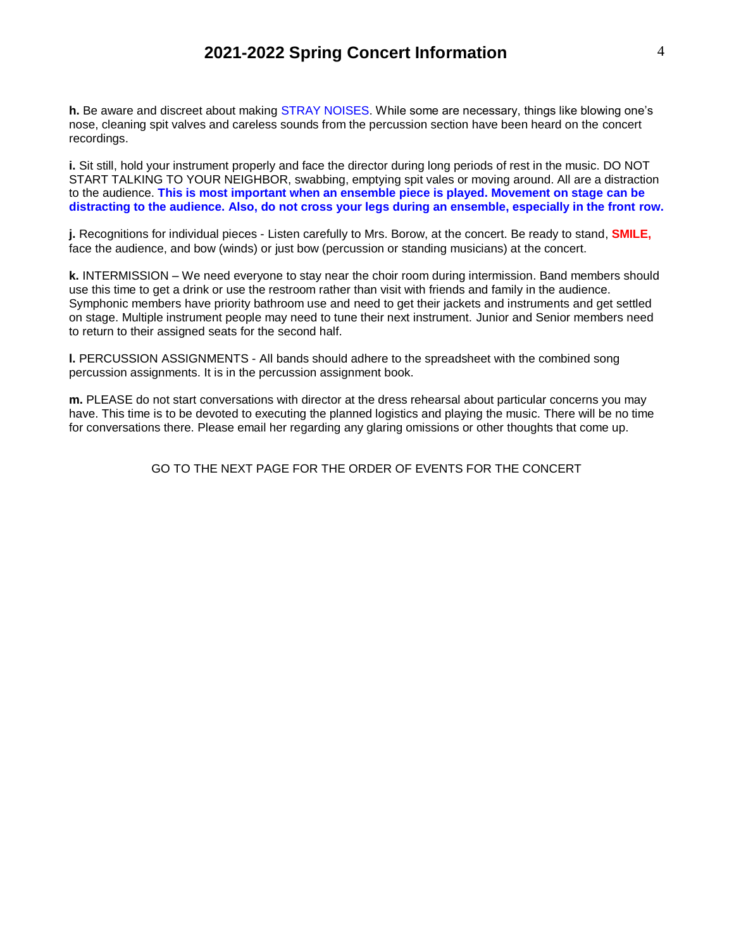**h.** Be aware and discreet about making STRAY NOISES. While some are necessary, things like blowing one's nose, cleaning spit valves and careless sounds from the percussion section have been heard on the concert recordings.

**i.** Sit still, hold your instrument properly and face the director during long periods of rest in the music. DO NOT START TALKING TO YOUR NEIGHBOR, swabbing, emptying spit vales or moving around. All are a distraction to the audience. **This is most important when an ensemble piece is played. Movement on stage can be distracting to the audience. Also, do not cross your legs during an ensemble, especially in the front row.**

**j.** Recognitions for individual pieces - Listen carefully to Mrs. Borow, at the concert. Be ready to stand, **SMILE,** face the audience, and bow (winds) or just bow (percussion or standing musicians) at the concert.

**k.** INTERMISSION – We need everyone to stay near the choir room during intermission. Band members should use this time to get a drink or use the restroom rather than visit with friends and family in the audience. Symphonic members have priority bathroom use and need to get their jackets and instruments and get settled on stage. Multiple instrument people may need to tune their next instrument. Junior and Senior members need to return to their assigned seats for the second half.

**l.** PERCUSSION ASSIGNMENTS - All bands should adhere to the spreadsheet with the combined song percussion assignments. It is in the percussion assignment book.

**m.** PLEASE do not start conversations with director at the dress rehearsal about particular concerns you may have. This time is to be devoted to executing the planned logistics and playing the music. There will be no time for conversations there. Please email her regarding any glaring omissions or other thoughts that come up.

GO TO THE NEXT PAGE FOR THE ORDER OF EVENTS FOR THE CONCERT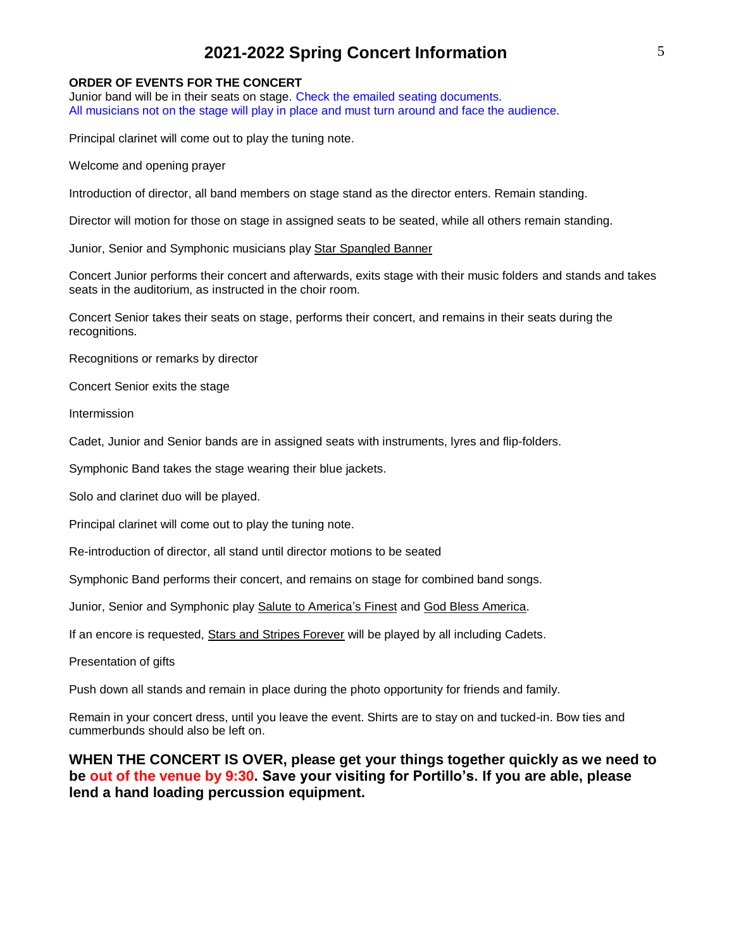#### **ORDER OF EVENTS FOR THE CONCERT**

Junior band will be in their seats on stage. Check the emailed seating documents. All musicians not on the stage will play in place and must turn around and face the audience.

Principal clarinet will come out to play the tuning note.

Welcome and opening prayer

Introduction of director, all band members on stage stand as the director enters. Remain standing.

Director will motion for those on stage in assigned seats to be seated, while all others remain standing.

Junior, Senior and Symphonic musicians play Star Spangled Banner

Concert Junior performs their concert and afterwards, exits stage with their music folders and stands and takes seats in the auditorium, as instructed in the choir room.

Concert Senior takes their seats on stage, performs their concert, and remains in their seats during the recognitions.

Recognitions or remarks by director

Concert Senior exits the stage

Intermission

Cadet, Junior and Senior bands are in assigned seats with instruments, lyres and flip-folders.

Symphonic Band takes the stage wearing their blue jackets.

Solo and clarinet duo will be played.

Principal clarinet will come out to play the tuning note.

Re-introduction of director, all stand until director motions to be seated

Symphonic Band performs their concert, and remains on stage for combined band songs.

Junior, Senior and Symphonic play Salute to America's Finest and God Bless America.

If an encore is requested, Stars and Stripes Forever will be played by all including Cadets.

Presentation of gifts

Push down all stands and remain in place during the photo opportunity for friends and family.

Remain in your concert dress, until you leave the event. Shirts are to stay on and tucked-in. Bow ties and cummerbunds should also be left on.

**WHEN THE CONCERT IS OVER, please get your things together quickly as we need to be out of the venue by 9:30. Save your visiting for Portillo's. If you are able, please lend a hand loading percussion equipment.**